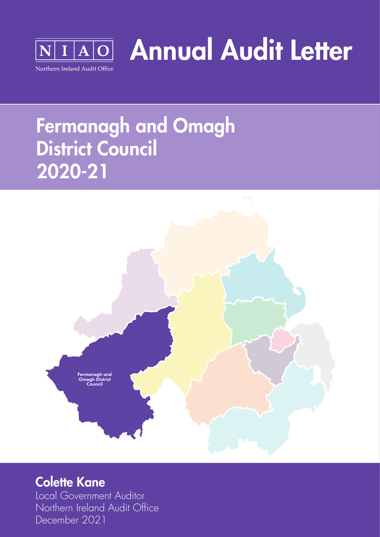

Annual Audit Letter

# Fermanagh and Omagh District Council 2020-21



### Colette Kane

Local Government Auditor Northern Ireland Audit Office December 2021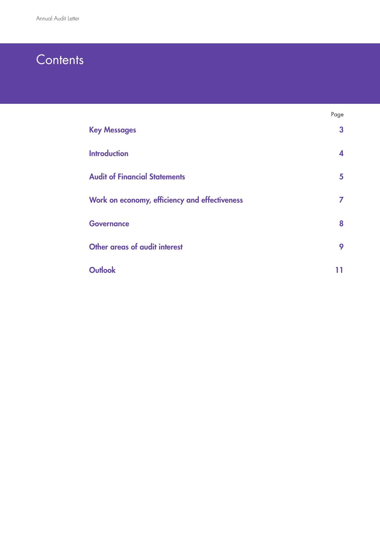### **Contents**

|                                               | Page         |
|-----------------------------------------------|--------------|
| <b>Key Messages</b>                           | $\mathbf{3}$ |
| <b>Introduction</b>                           | 4            |
| <b>Audit of Financial Statements</b>          | 5            |
| Work on economy, efficiency and effectiveness | 7            |
| <b>Governance</b>                             | 8            |
| Other areas of audit interest                 | 9            |
| <b>Outlook</b>                                |              |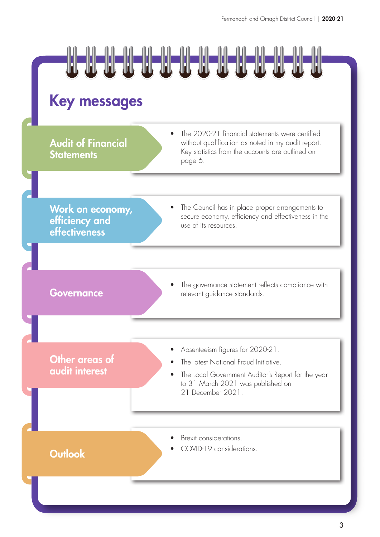

### Key messages

**Audit of Financial Statements** 

The 2020-21 financial statements were certified without qualification as noted in my audit report. Key statistics from the accounts are outlined on page 6.

Work on economy, efficiency and effectiveness

The Council has in place proper arrangements to secure economy, efficiency and effectiveness in the use of its resources.

The governance statement reflects compliance with Governance relevant guidance standards.

Other areas of audit interest

- Absenteeism figures for 2020-21.
- The latest National Fraud Initiative.
- The Local Government Auditor's Report for the year to 31 March 2021 was published on 21 December 2021.

- Brexit considerations.
- COVID-19 considerations. Outlook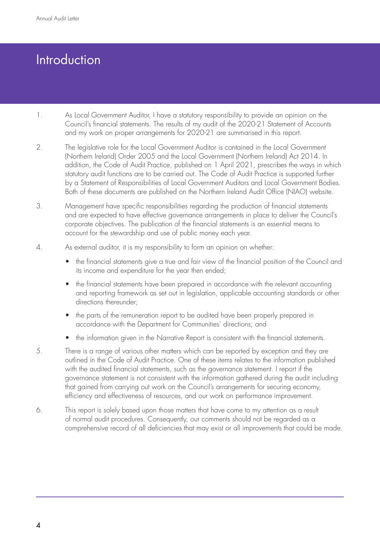# **Introduction**

- 1. As Local Government Auditor, I have a statutory responsibility to provide an opinion on the Council's financial statements. The results of my audit of the 2020-21 Statement of Accounts and my work on proper arrangements for 2020-21 are summarised in this report.
- 2. The legislative role for the Local Government Auditor is contained in the Local Government (Northern Ireland) Order 2005 and the Local Government (Northern Ireland) Act 2014. In addition, the Code of Audit Practice, published on 1 April 2021, prescribes the ways in which statutory audit functions are to be carried out. The Code of Audit Practice is supported further by a Statement of Responsibilities of Local Government Auditors and Local Government Bodies. Both of these documents are published on the Northern Ireland Audit Office (NIAO) website.
- 3. Management have specific responsibilities regarding the production of financial statements and are expected to have effective governance arrangements in place to deliver the Council's corporate objectives. The publication of the financial statements is an essential means to account for the stewardship and use of public money each year.
- 4. As external auditor, it is my responsibility to form an opinion on whether:
	- the financial statements give a true and fair view of the financial position of the Council and its income and expenditure for the year then ended;
	- the financial statements have been prepared in accordance with the relevant accounting and reporting framework as set out in legislation, applicable accounting standards or other directions thereunder;
	- the parts of the remuneration report to be audited have been properly prepared in accordance with the Department for Communities' directions; and
	- the information given in the Narrative Report is consistent with the financial statements.
- 5. There is a range of various other matters which can be reported by exception and they are outlined in the Code of Audit Practice. One of these items relates to the information published with the audited financial statements, such as the governance statement. I report if the governance statement is not consistent with the information gathered during the audit including that gained from carrying out work on the Council's arrangements for securing economy, efficiency and effectiveness of resources, and our work on performance improvement.
- 6. This report is solely based upon those matters that have come to my attention as a result of normal audit procedures. Consequently, our comments should not be regarded as a comprehensive record of all deficiencies that may exist or all improvements that could be made.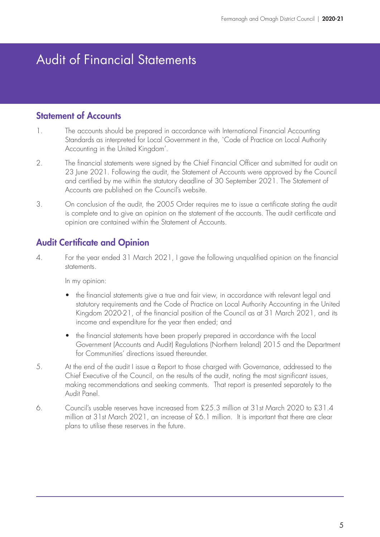## Audit of Financial Statements

#### Statement of Accounts

- 1. The accounts should be prepared in accordance with International Financial Accounting Standards as interpreted for Local Government in the, `Code of Practice on Local Authority Accounting in the United Kingdom'.
- 2. The financial statements were signed by the Chief Financial Officer and submitted for audit on 23 June 2021. Following the audit, the Statement of Accounts were approved by the Council and certified by me within the statutory deadline of 30 September 2021. The Statement of Accounts are published on the Council's website.
- 3. On conclusion of the audit, the 2005 Order requires me to issue a certificate stating the audit is complete and to give an opinion on the statement of the accounts. The audit certificate and opinion are contained within the Statement of Accounts.

### Audit Certificate and Opinion

4. For the year ended 31 March 2021, I gave the following unqualified opinion on the financial statements.

In my opinion:

- the financial statements give a true and fair view, in accordance with relevant legal and statutory requirements and the Code of Practice on Local Authority Accounting in the United Kingdom 2020-21, of the financial position of the Council as at 31 March 2021, and its income and expenditure for the year then ended; and
- the financial statements have been properly prepared in accordance with the Local Government (Accounts and Audit) Regulations (Northern Ireland) 2015 and the Department for Communities' directions issued thereunder.
- 5. At the end of the audit I issue a Report to those charged with Governance, addressed to the Chief Executive of the Council, on the results of the audit, noting the most significant issues, making recommendations and seeking comments. That report is presented separately to the Audit Panel.
- 6. Council's usable reserves have increased from £25.3 million at 31st March 2020 to £31.4 million at 31st March 2021, an increase of £6.1 million. It is important that there are clear plans to utilise these reserves in the future.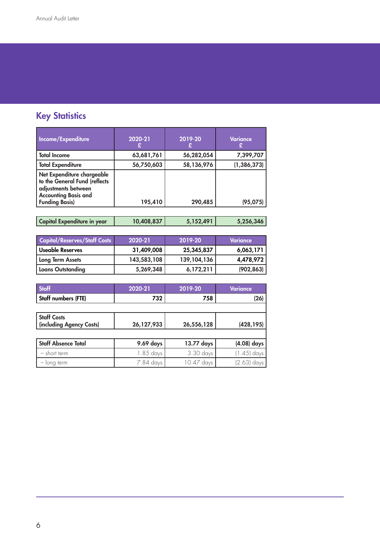### **Key Statistics**

| Income/Expenditure                                                                                                | 2020-21    | 2019-20    | Variance      |
|-------------------------------------------------------------------------------------------------------------------|------------|------------|---------------|
| <b>Total Income</b>                                                                                               | 63,681,761 | 56,282,054 | 7,399,707     |
| <b>Total Expenditure</b>                                                                                          | 56,750,603 | 58,136,976 | (1, 386, 373) |
| Net Expenditure chargeable<br>to the General Fund (reflects<br>adjustments between<br><b>Accounting Basis and</b> |            |            |               |
| <b>Funding Basis)</b>                                                                                             | 195,410    | 290,485    | (95, 075)     |

| , Capital Expenditure in year $\epsilon$ | 10,408,837 | 5,152,491 | 5,256,346 |
|------------------------------------------|------------|-----------|-----------|
|                                          |            |           |           |

| <b>Capital/Reserves/Staff Costs</b> | 2020-21     | 2019-20       | Variance   |
|-------------------------------------|-------------|---------------|------------|
| Useable Reserves                    | 31,409,008  | 25,345,837    | 6,063,171  |
| <b>Long Term Assets</b>             | 143,583,108 | 139, 104, 136 | 4,478,972  |
| <b>Loans Outstanding</b>            | 5,269,348   | 6,172,211     | (902, 863) |

| <b>Staff</b>                                   | 2020-21    | 2019-20    | Variance      |
|------------------------------------------------|------------|------------|---------------|
| Staff numbers (FTE)                            | 732        | 758        | (26)          |
|                                                |            |            |               |
| <b>Staff Costs</b><br>(including Agency Costs) | 26,127,933 | 26,556,128 | (428, 195)    |
|                                                |            |            |               |
| <b>Staff Absence Total</b>                     | 9.69 days  | 13.77 days | $(4.08)$ days |
| - short term                                   | 1.85 days  | 3.30 days  | $(1.45)$ days |
| - long term                                    | 7.84 days  | 10.47 days | (2.63) days   |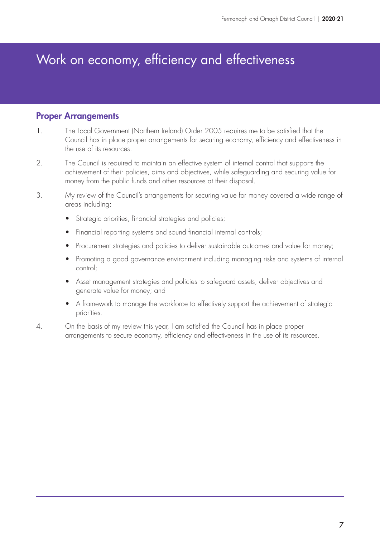### Work on economy, efficiency and effectiveness

#### Proper Arrangements

- 1. The Local Government (Northern Ireland) Order 2005 requires me to be satisfied that the Council has in place proper arrangements for securing economy, efficiency and effectiveness in the use of its resources.
- 2. The Council is required to maintain an effective system of internal control that supports the achievement of their policies, aims and objectives, while safeguarding and securing value for money from the public funds and other resources at their disposal.
- 3. My review of the Council's arrangements for securing value for money covered a wide range of areas including:
	- Strategic priorities, financial strategies and policies;
	- Financial reporting systems and sound financial internal controls;
	- Procurement strategies and policies to deliver sustainable outcomes and value for money;
	- Promoting a good governance environment including managing risks and systems of internal control;
	- Asset management strategies and policies to safeguard assets, deliver objectives and generate value for money; and
	- A framework to manage the workforce to effectively support the achievement of strategic priorities.
- 4. On the basis of my review this year, I am satisfied the Council has in place proper arrangements to secure economy, efficiency and effectiveness in the use of its resources.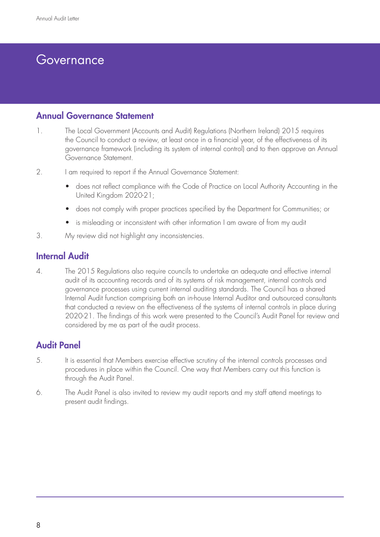### Governance

#### Annual Governance Statement

- 1. The Local Government (Accounts and Audit) Regulations (Northern Ireland) 2015 requires the Council to conduct a review, at least once in a financial year, of the effectiveness of its governance framework (including its system of internal control) and to then approve an Annual Governance Statement.
- 2. I am required to report if the Annual Governance Statement:
	- does not reflect compliance with the Code of Practice on Local Authority Accounting in the United Kingdom 2020-21;
	- does not comply with proper practices specified by the Department for Communities; or
	- is misleading or inconsistent with other information I am aware of from my audit
- 3. My review did not highlight any inconsistencies.

#### Internal Audit

4. The 2015 Regulations also require councils to undertake an adequate and effective internal audit of its accounting records and of its systems of risk management, internal controls and governance processes using current internal auditing standards. The Council has a shared Internal Audit function comprising both an in-house Internal Auditor and outsourced consultants that conducted a review on the effectiveness of the systems of internal controls in place during 2020-21. The findings of this work were presented to the Council's Audit Panel for review and considered by me as part of the audit process.

### Audit Panel

- 5. It is essential that Members exercise effective scrutiny of the internal controls processes and procedures in place within the Council. One way that Members carry out this function is through the Audit Panel.
- 6. The Audit Panel is also invited to review my audit reports and my staff attend meetings to present audit findings.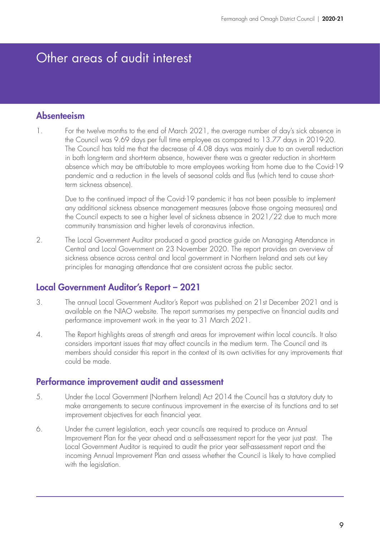### Other areas of audit interest

#### Absenteeism

1. For the twelve months to the end of March 2021, the average number of day's sick absence in the Council was 9.69 days per full time employee as compared to 13.77 days in 2019-20. The Council has told me that the decrease of 4.08 days was mainly due to an overall reduction in both long-term and short-term absence, however there was a greater reduction in short-term absence which may be attributable to more employees working from home due to the Covid-19 pandemic and a reduction in the levels of seasonal colds and flus (which tend to cause shortterm sickness absence).

Due to the continued impact of the Covid-19 pandemic it has not been possible to implement any additional sickness absence management measures (above those ongoing measures) and the Council expects to see a higher level of sickness absence in 2021/22 due to much more community transmission and higher levels of coronavirus infection.

2. The Local Government Auditor produced a good practice guide on [Managing Attendance in](https://www.niauditoffice.gov.uk/sites/niao/files/media-files/244347%20NIAO%20Managing%20Attendance%20in%20Central%20and%20Local%20Government_%28WEB%20PDF%29__6.pdf)  [Central and Local Government](https://www.niauditoffice.gov.uk/sites/niao/files/media-files/244347%20NIAO%20Managing%20Attendance%20in%20Central%20and%20Local%20Government_%28WEB%20PDF%29__6.pdf) on 23 November 2020. The report provides an overview of sickness absence across central and local government in Northern Ireland and sets out key principles for managing attendance that are consistent across the public sector.

#### Local Government Auditor's Report – 2021

- 3. The annual [Local Government Auditor's Report](https://www.niauditoffice.gov.uk/sites/niao/files/media-files/246499_NIAO_LGA%20Report__%28Combined%20WEB%20PDF__Final%29.pdf) was published on 21st December 2021 and is available on the NIAO website. The report summarises my perspective on financial audits and performance improvement work in the year to 31 March 2021.
- 4. The Report highlights areas of strength and areas for improvement within local councils. It also considers important issues that may affect councils in the medium term. The Council and its members should consider this report in the context of its own activities for any improvements that could be made.

#### Performance improvement audit and assessment

- 5. Under the Local Government (Northern Ireland) Act 2014 the Council has a statutory duty to make arrangements to secure continuous improvement in the exercise of its functions and to set improvement objectives for each financial year.
- 6. Under the current legislation, each year councils are required to produce an Annual Improvement Plan for the year ahead and a self-assessment report for the year just past. The Local Government Auditor is required to audit the prior year self-assessment report and the incoming Annual Improvement Plan and assess whether the Council is likely to have complied with the legislation.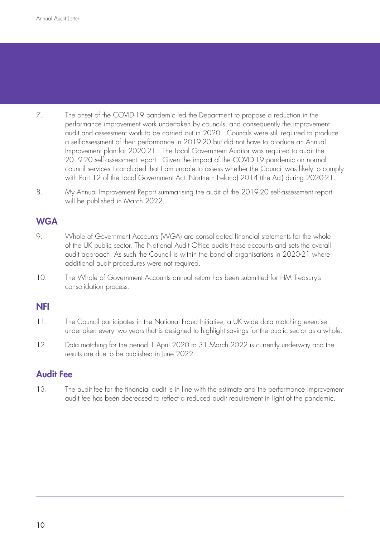- 7. The onset of the COVID-19 pandemic led the Department to propose a reduction in the performance improvement work undertaken by councils, and consequently the improvement audit and assessment work to be carried out in 2020. Councils were still required to produce a self-assessment of their performance in 2019-20 but did not have to produce an Annual Improvement plan for 2020-21. The Local Government Auditor was required to audit the 2019-20 self-assessment report. Given the impact of the COVID-19 pandemic on normal council services I concluded that I am unable to assess whether the Council was likely to comply with Part 12 of the Local Government Act (Northern Ireland) 2014 (the Act) during 2020-21.
- 8. My Annual Improvement Report summarising the audit of the 2019-20 self-assessment report will be published in March 2022.

### **WGA**

- 9. Whole of Government Accounts (WGA) are consolidated financial statements for the whole of the UK public sector. The National Audit Office audits these accounts and sets the overall audit approach. As such the Council is within the band of organisations in 2020-21 where additional audit procedures were not required.
- 10. The Whole of Government Accounts annual return has been submitted for HM Treasury's consolidation process.

#### NFI

- 11. The Council participates in the National Fraud Initiative, a UK wide data matching exercise undertaken every two years that is designed to highlight savings for the public sector as a whole.
- 12. Data matching for the period 1 April 2020 to 31 March 2022 is currently underway and the results are due to be published in June 2022.

#### Audit Fee

13. The audit fee for the financial audit is in line with the estimate and the performance improvement audit fee has been decreased to reflect a reduced audit requirement in light of the pandemic.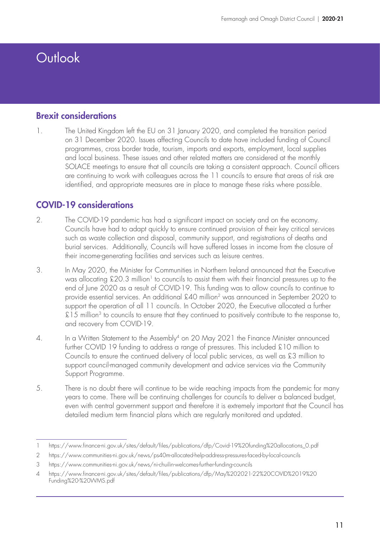# **Outlook**

#### Brexit considerations

1. The United Kingdom left the EU on 31 January 2020, and completed the transition period on 31 December 2020. Issues affecting Councils to date have included funding of Council programmes, cross border trade, tourism, imports and exports, employment, local supplies and local business. These issues and other related matters are considered at the monthly SOLACE meetings to ensure that all councils are taking a consistent approach. Council officers are continuing to work with colleagues across the 11 councils to ensure that areas of risk are identified, and appropriate measures are in place to manage these risks where possible.

### COVID-19 considerations

- 2. The COVID-19 pandemic has had a significant impact on society and on the economy. Councils have had to adapt quickly to ensure continued provision of their key critical services such as waste collection and disposal, community support, and registrations of deaths and burial services. Additionally, Councils will have suffered losses in income from the closure of their income-generating facilities and services such as leisure centres.
- 3. In May 2020, the Minister for Communities in Northern Ireland announced that the Executive was allocating £20.3 million<sup>1</sup> to councils to assist them with their financial pressures up to the end of June 2020 as a result of COVID-19. This funding was to allow councils to continue to provide essential services. An additional £40 million2 was announced in September 2020 to support the operation of all 11 councils. In October 2020, the Executive allocated a further  $£15$  million<sup>3</sup> to councils to ensure that they continued to positively contribute to the response to, and recovery from COVID-19.
- 4. In a Written Statement to the Assembly<sup>4</sup> on 20 May 2021 the Finance Minister announced further COVID 19 funding to address a range of pressures. This included £10 million to Councils to ensure the continued delivery of local public services, as well as £3 million to support council-managed community development and advice services via the Community Support Programme.
- 5. There is no doubt there will continue to be wide reaching impacts from the pandemic for many years to come. There will be continuing challenges for councils to deliver a balanced budget, even with central government support and therefore it is extremely important that the Council has detailed medium term financial plans which are regularly monitored and updated.

<sup>1</sup> https://www.finance-ni.gov.uk/sites/default/files/publications/dfp/Covid-19%20funding%20allocations\_0.pdf

<sup>2</sup> https://www.communities-ni.gov.uk/news/ps40m-allocated-help-address-pressures-faced-by-local-councils

<sup>3</sup> https://www.communities-ni.gov.uk/news/ni-chuilin-welcomes-further-funding-councils

<sup>4</sup> [https://www.finance-ni.gov.uk/sites/default/files/publications/dfp/May%202021-22%20COVID%2019%20](https://www.finance-ni.gov.uk/sites/default/files/publications/dfp/May%202021-22%20COVID%2019%20Funding%20-%20WMS.pdf) [Funding%20-%20WMS.pdf](https://www.finance-ni.gov.uk/sites/default/files/publications/dfp/May%202021-22%20COVID%2019%20Funding%20-%20WMS.pdf)